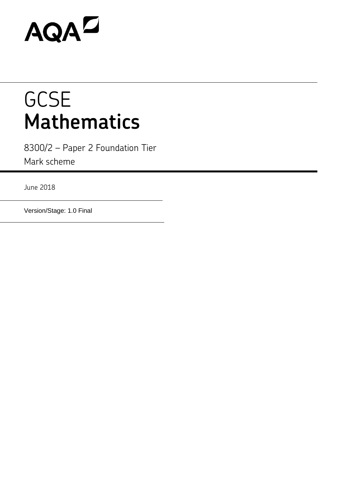# AQAD

# **GCSE Mathematics**

8300/2 – Paper 2 Foundation Tier Mark scheme

June 2018

Version/Stage: 1.0 Final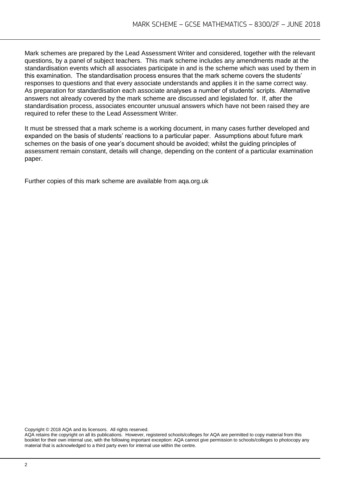Mark schemes are prepared by the Lead Assessment Writer and considered, together with the relevant questions, by a panel of subject teachers. This mark scheme includes any amendments made at the standardisation events which all associates participate in and is the scheme which was used by them in this examination. The standardisation process ensures that the mark scheme covers the students' responses to questions and that every associate understands and applies it in the same correct way. As preparation for standardisation each associate analyses a number of students' scripts. Alternative answers not already covered by the mark scheme are discussed and legislated for. If, after the standardisation process, associates encounter unusual answers which have not been raised they are required to refer these to the Lead Assessment Writer.

It must be stressed that a mark scheme is a working document, in many cases further developed and expanded on the basis of students' reactions to a particular paper. Assumptions about future mark schemes on the basis of one year's document should be avoided; whilst the guiding principles of assessment remain constant, details will change, depending on the content of a particular examination paper.

Further copies of this mark scheme are available from aqa.org.uk

Copyright © 2018 AQA and its licensors. All rights reserved.

AQA retains the copyright on all its publications. However, registered schools/colleges for AQA are permitted to copy material from this booklet for their own internal use, with the following important exception: AQA cannot give permission to schools/colleges to photocopy any material that is acknowledged to a third party even for internal use within the centre.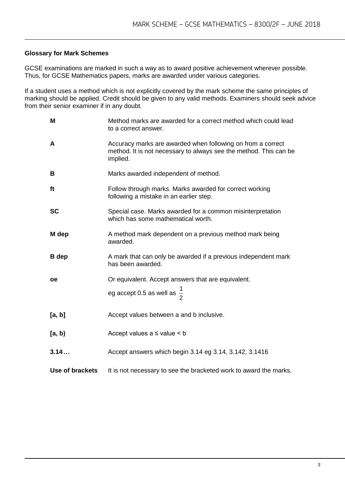### **Glossary for Mark Schemes**

GCSE examinations are marked in such a way as to award positive achievement wherever possible. Thus, for GCSE Mathematics papers, marks are awarded under various categories.

If a student uses a method which is not explicitly covered by the mark scheme the same principles of marking should be applied. Credit should be given to any valid methods. Examiners should seek advice from their senior examiner if in any doubt.

| M                      | Method marks are awarded for a correct method which could lead<br>to a correct answer.                                                       |
|------------------------|----------------------------------------------------------------------------------------------------------------------------------------------|
| A                      | Accuracy marks are awarded when following on from a correct<br>method. It is not necessary to always see the method. This can be<br>implied. |
| B                      | Marks awarded independent of method.                                                                                                         |
| ft                     | Follow through marks. Marks awarded for correct working<br>following a mistake in an earlier step.                                           |
| <b>SC</b>              | Special case. Marks awarded for a common misinterpretation<br>which has some mathematical worth.                                             |
| M dep                  | A method mark dependent on a previous method mark being<br>awarded.                                                                          |
| <b>B</b> dep           | A mark that can only be awarded if a previous independent mark<br>has been awarded.                                                          |
| <b>oe</b>              | Or equivalent. Accept answers that are equivalent.                                                                                           |
|                        | eg accept 0.5 as well as $\frac{1}{2}$                                                                                                       |
| [a, b]                 | Accept values between a and b inclusive.                                                                                                     |
| [a, b)                 | Accept values $a \leq$ value $\leq b$                                                                                                        |
| 3.14                   | Accept answers which begin 3.14 eg 3.14, 3.142, 3.1416                                                                                       |
| <b>Use of brackets</b> | It is not necessary to see the bracketed work to award the marks.                                                                            |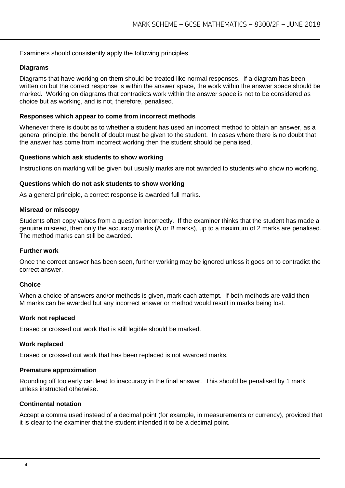#### Examiners should consistently apply the following principles

#### **Diagrams**

Diagrams that have working on them should be treated like normal responses. If a diagram has been written on but the correct response is within the answer space, the work within the answer space should be marked. Working on diagrams that contradicts work within the answer space is not to be considered as choice but as working, and is not, therefore, penalised.

#### **Responses which appear to come from incorrect methods**

Whenever there is doubt as to whether a student has used an incorrect method to obtain an answer, as a general principle, the benefit of doubt must be given to the student. In cases where there is no doubt that the answer has come from incorrect working then the student should be penalised.

#### **Questions which ask students to show working**

Instructions on marking will be given but usually marks are not awarded to students who show no working.

#### **Questions which do not ask students to show working**

As a general principle, a correct response is awarded full marks.

#### **Misread or miscopy**

Students often copy values from a question incorrectly. If the examiner thinks that the student has made a genuine misread, then only the accuracy marks (A or B marks), up to a maximum of 2 marks are penalised. The method marks can still be awarded.

#### **Further work**

Once the correct answer has been seen, further working may be ignored unless it goes on to contradict the correct answer.

#### **Choice**

When a choice of answers and/or methods is given, mark each attempt. If both methods are valid then M marks can be awarded but any incorrect answer or method would result in marks being lost.

#### **Work not replaced**

Erased or crossed out work that is still legible should be marked.

#### **Work replaced**

Erased or crossed out work that has been replaced is not awarded marks.

#### **Premature approximation**

Rounding off too early can lead to inaccuracy in the final answer. This should be penalised by 1 mark unless instructed otherwise.

#### **Continental notation**

Accept a comma used instead of a decimal point (for example, in measurements or currency), provided that it is clear to the examiner that the student intended it to be a decimal point.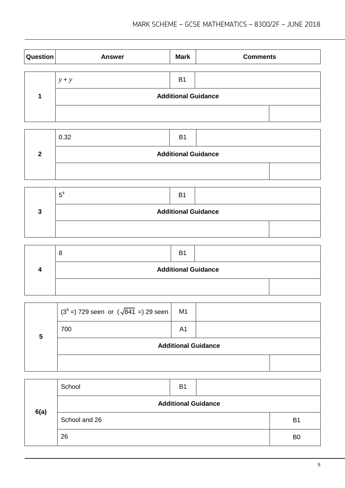| Question | <b>Answer</b> | <b>Mark</b>                | <b>Comments</b> |  |
|----------|---------------|----------------------------|-----------------|--|
|          |               |                            |                 |  |
|          | $y + y$       | <b>B1</b>                  |                 |  |
|          |               | <b>Additional Guidance</b> |                 |  |
|          |               |                            |                 |  |

|   | 0.32                       | <b>B1</b> |  |  |  |  |
|---|----------------------------|-----------|--|--|--|--|
| າ | <b>Additional Guidance</b> |           |  |  |  |  |
|   |                            |           |  |  |  |  |

|   | $5^4$                      | B <sub>1</sub> |  |  |
|---|----------------------------|----------------|--|--|
| 2 | <b>Additional Guidance</b> |                |  |  |
|   |                            |                |  |  |

|                            | <b>B1</b> |  |  |
|----------------------------|-----------|--|--|
| <b>Additional Guidance</b> |           |  |  |
|                            |           |  |  |

|   | $(3^{6} = 729$ seen or $(\sqrt{841} = 29)$ seen | M1 |                            |  |
|---|-------------------------------------------------|----|----------------------------|--|
| 5 | 700                                             | A1 |                            |  |
|   |                                                 |    | <b>Additional Guidance</b> |  |
|   |                                                 |    |                            |  |

|      | School                     | <b>B1</b> |  |                |  |
|------|----------------------------|-----------|--|----------------|--|
| 6(a) | <b>Additional Guidance</b> |           |  |                |  |
|      | School and 26              |           |  | B <sub>1</sub> |  |
|      | 26                         |           |  | B <sub>0</sub> |  |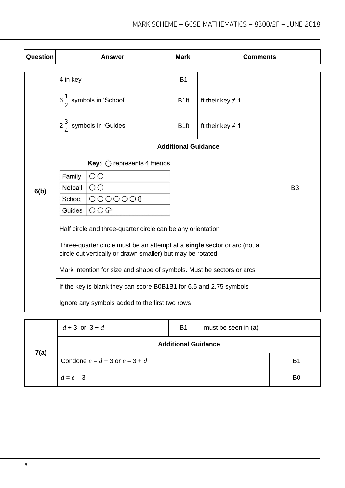| Question |                                                                                                                                        | <b>Answer</b>                               | <b>Mark</b>                | <b>Comments</b>                               |                |
|----------|----------------------------------------------------------------------------------------------------------------------------------------|---------------------------------------------|----------------------------|-----------------------------------------------|----------------|
|          | 4 in key                                                                                                                               |                                             | <b>B1</b>                  |                                               |                |
|          |                                                                                                                                        | $6\frac{1}{2}$ symbols in 'School'          | B <sub>1ft</sub>           | ft their key $\neq$ 1                         |                |
|          |                                                                                                                                        | $2\frac{3}{4}$ symbols in 'Guides'          | B <sub>1ft</sub>           | ft their key $\neq$ 1                         |                |
|          |                                                                                                                                        |                                             | <b>Additional Guidance</b> |                                               |                |
|          |                                                                                                                                        | <b>Key:</b> $\bigcirc$ represents 4 friends |                            |                                               |                |
|          | Family                                                                                                                                 | $\overline{O}O$                             |                            |                                               |                |
| 6(b)     | Netball                                                                                                                                | $\circ$                                     |                            |                                               | B <sub>3</sub> |
|          | School                                                                                                                                 | 0000000                                     |                            |                                               |                |
|          | Guides                                                                                                                                 | OOO                                         |                            |                                               |                |
|          | Half circle and three-quarter circle can be any orientation                                                                            |                                             |                            |                                               |                |
|          | Three-quarter circle must be an attempt at a single sector or arc (not a<br>circle cut vertically or drawn smaller) but may be rotated |                                             |                            |                                               |                |
|          | Mark intention for size and shape of symbols. Must be sectors or arcs                                                                  |                                             |                            |                                               |                |
|          | If the key is blank they can score B0B1B1 for 6.5 and 2.75 symbols                                                                     |                                             |                            |                                               |                |
|          | Ignore any symbols added to the first two rows                                                                                         |                                             |                            |                                               |                |
|          | $J \cdot \Omega$ or $\Omega \cdot J$                                                                                                   |                                             | D <sub>4</sub>             | $min + h \land \land \land \land \land \land$ |                |

|      | $d + 3$ or $3 + d$                 | <b>B1</b> | must be seen in (a) |                |  |
|------|------------------------------------|-----------|---------------------|----------------|--|
| 7(a) | <b>Additional Guidance</b>         |           |                     |                |  |
|      | Condone $e = d + 3$ or $e = 3 + d$ |           |                     | B1             |  |
|      | $d = e - 3$                        |           |                     | B <sub>0</sub> |  |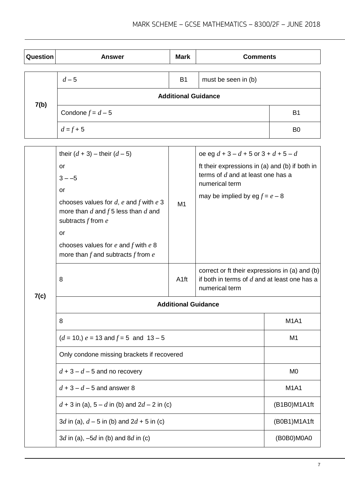| Question | <b>Answer</b>              | <b>Mark</b> | <b>Comments</b>     |                |
|----------|----------------------------|-------------|---------------------|----------------|
|          |                            |             |                     |                |
|          | $d-5$                      | <b>B1</b>   | must be seen in (b) |                |
| 7(b)     | <b>Additional Guidance</b> |             |                     |                |
|          | Condone $f = d - 5$        |             |                     | <b>B1</b>      |
|          | $d = f + 5$                |             |                     | B <sub>0</sub> |

|      | their $(d + 3)$ – their $(d - 5)$                                                                                                                                                                                                             |                  | oe eg $d + 3 - d + 5$ or $3 + d + 5 - d$                                                                                                    |              |  |
|------|-----------------------------------------------------------------------------------------------------------------------------------------------------------------------------------------------------------------------------------------------|------------------|---------------------------------------------------------------------------------------------------------------------------------------------|--------------|--|
|      | or<br>$3 - -5$<br>or<br>chooses values for $d$ , $e$ and $f$ with $e$ 3<br>more than $d$ and $f$ 5 less than $d$ and<br>subtracts $f$ from $e$<br>or<br>chooses values for $e$ and $f$ with $e$ 8<br>more than $f$ and subtracts $f$ from $e$ | M1               | ft their expressions in (a) and (b) if both in<br>terms of $d$ and at least one has a<br>numerical term<br>may be implied by eg $f = e - 8$ |              |  |
|      | 8                                                                                                                                                                                                                                             | A <sub>1ft</sub> | correct or ft their expressions in (a) and (b)<br>if both in terms of $d$ and at least one has a<br>numerical term                          |              |  |
| 7(c) | <b>Additional Guidance</b>                                                                                                                                                                                                                    |                  |                                                                                                                                             |              |  |
|      | 8                                                                                                                                                                                                                                             |                  |                                                                                                                                             | <b>M1A1</b>  |  |
|      | $(d = 10)$ , $e = 13$ and $f = 5$ and $13 - 5$                                                                                                                                                                                                | M <sub>1</sub>   |                                                                                                                                             |              |  |
|      | Only condone missing brackets if recovered                                                                                                                                                                                                    |                  |                                                                                                                                             |              |  |
|      | $d+3-d-5$ and no recovery                                                                                                                                                                                                                     | M <sub>0</sub>   |                                                                                                                                             |              |  |
|      | $d+3-d-5$ and answer 8                                                                                                                                                                                                                        | <b>M1A1</b>      |                                                                                                                                             |              |  |
|      | $d + 3$ in (a), $5 - d$ in (b) and $2d - 2$ in (c)                                                                                                                                                                                            | (B1B0)M1A1ft     |                                                                                                                                             |              |  |
|      | 3d in (a), $d - 5$ in (b) and 2d + 5 in (c)                                                                                                                                                                                                   |                  |                                                                                                                                             | (B0B1)M1A1ft |  |
|      | 3d in (a), $-5d$ in (b) and 8d in (c)                                                                                                                                                                                                         |                  |                                                                                                                                             | (B0B0)M0A0   |  |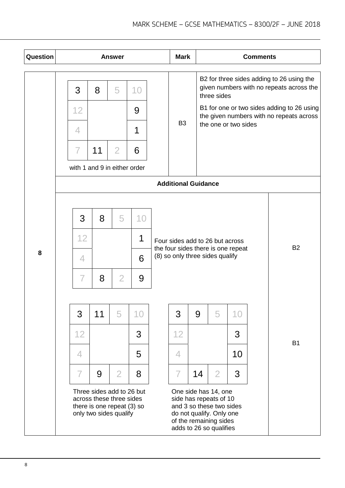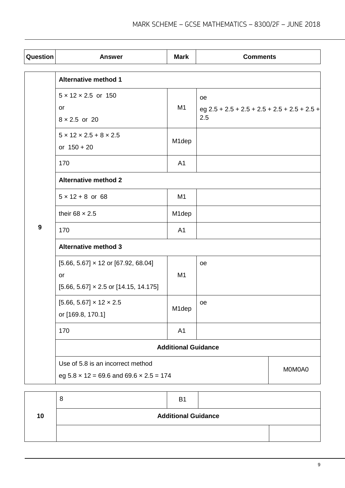| Question         | <b>Answer</b>                                                                                    | <b>Mark</b>        | <b>Comments</b>                                             |        |
|------------------|--------------------------------------------------------------------------------------------------|--------------------|-------------------------------------------------------------|--------|
|                  | <b>Alternative method 1</b>                                                                      |                    |                                                             |        |
|                  | $5 \times 12 \times 2.5$ or 150<br>or<br>$8 \times 2.5$ or 20                                    | M1                 | oe<br>eg $2.5 + 2.5 + 2.5 + 2.5 + 2.5 + 2.5 + 2.5 +$<br>2.5 |        |
|                  | $5 \times 12 \times 2.5 + 8 \times 2.5$<br>or $150 + 20$                                         | M <sub>1</sub> dep |                                                             |        |
|                  | 170                                                                                              | A <sub>1</sub>     |                                                             |        |
|                  | <b>Alternative method 2</b>                                                                      |                    |                                                             |        |
|                  | $5 \times 12 + 8$ or 68                                                                          | M <sub>1</sub>     |                                                             |        |
|                  | their 68 $\times$ 2.5                                                                            | M1dep              |                                                             |        |
| $\boldsymbol{9}$ | 170                                                                                              | A1                 |                                                             |        |
|                  | <b>Alternative method 3</b>                                                                      |                    |                                                             |        |
|                  | $[5.66, 5.67] \times 12$ or [67.92, 68.04]<br>or<br>$[5.66, 5.67] \times 2.5$ or [14.15, 14.175] | M1                 | oe                                                          |        |
|                  | $[5.66, 5.67] \times 12 \times 2.5$<br>or [169.8, 170.1]                                         | M <sub>1</sub> dep | oe                                                          |        |
|                  | 170                                                                                              | A1                 |                                                             |        |
|                  | <b>Additional Guidance</b>                                                                       |                    |                                                             |        |
|                  | Use of 5.8 is an incorrect method<br>eg $5.8 \times 12 = 69.6$ and $69.6 \times 2.5 = 174$       |                    |                                                             | M0M0A0 |

|    | O                          | B <sub>1</sub> |  |
|----|----------------------------|----------------|--|
| 10 | <b>Additional Guidance</b> |                |  |
|    |                            |                |  |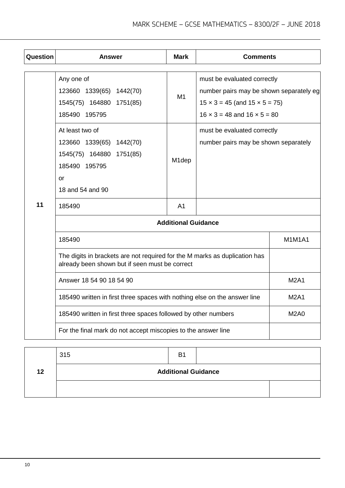| Question | <b>Answer</b>                                                                                                                | <b>Mark</b>        | <b>Comments</b>                                                                                                                                                     |               |  |
|----------|------------------------------------------------------------------------------------------------------------------------------|--------------------|---------------------------------------------------------------------------------------------------------------------------------------------------------------------|---------------|--|
|          | Any one of<br>123660 1339(65) 1442(70)<br>1545(75) 164880 1751(85)<br>185490 195795                                          | M <sub>1</sub>     | must be evaluated correctly<br>number pairs may be shown separately eg<br>$15 \times 3 = 45$ (and $15 \times 5 = 75$ )<br>$16 \times 3 = 48$ and $16 \times 5 = 80$ |               |  |
|          | At least two of<br>123660 1339(65) 1442(70)<br>1545(75) 164880 1751(85)<br>185490 195795<br>or<br>18 and 54 and 90           | M <sub>1</sub> dep | must be evaluated correctly<br>number pairs may be shown separately                                                                                                 |               |  |
| 11       | 185490                                                                                                                       | A <sub>1</sub>     |                                                                                                                                                                     |               |  |
|          | <b>Additional Guidance</b>                                                                                                   |                    |                                                                                                                                                                     |               |  |
|          | 185490                                                                                                                       |                    |                                                                                                                                                                     | <b>M1M1A1</b> |  |
|          | The digits in brackets are not required for the M marks as duplication has<br>already been shown but if seen must be correct |                    |                                                                                                                                                                     |               |  |
|          | Answer 18 54 90 18 54 90                                                                                                     | <b>M2A1</b>        |                                                                                                                                                                     |               |  |
|          | 185490 written in first three spaces with nothing else on the answer line                                                    |                    |                                                                                                                                                                     | <b>M2A1</b>   |  |
|          | 185490 written in first three spaces followed by other numbers                                                               |                    |                                                                                                                                                                     | <b>M2A0</b>   |  |
|          | For the final mark do not accept miscopies to the answer line                                                                |                    |                                                                                                                                                                     |               |  |

|    | 315                        | B <sub>1</sub> |  |  |
|----|----------------------------|----------------|--|--|
| 12 | <b>Additional Guidance</b> |                |  |  |
|    |                            |                |  |  |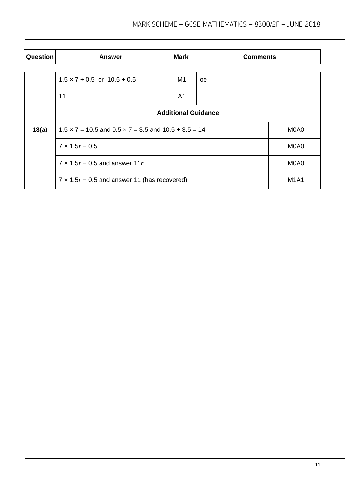| Question | <b>Answer</b>                                                        | <b>Mark</b>    | <b>Comments</b> |             |
|----------|----------------------------------------------------------------------|----------------|-----------------|-------------|
|          |                                                                      |                |                 |             |
|          | $1.5 \times 7 + 0.5$ or $10.5 + 0.5$                                 | M1             | <sub>oe</sub>   |             |
|          | 11                                                                   | A <sub>1</sub> |                 |             |
|          | <b>Additional Guidance</b>                                           |                |                 |             |
| 13(a)    | $1.5 \times 7 = 10.5$ and $0.5 \times 7 = 3.5$ and $10.5 + 3.5 = 14$ |                |                 | M0A0        |
|          | $7 \times 1.5r + 0.5$                                                | M0A0           |                 |             |
|          | $7 \times 1.5r + 0.5$ and answer 11r                                 | M0A0           |                 |             |
|          | $7 \times 1.5r + 0.5$ and answer 11 (has recovered)                  |                |                 | <b>M1A1</b> |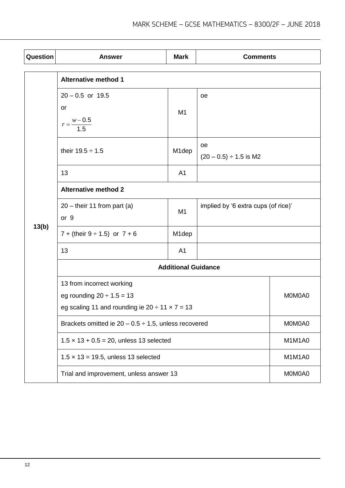| Question | <b>Answer</b>                                                                                                           | <b>Mark</b>                | <b>Comments</b>                     |        |
|----------|-------------------------------------------------------------------------------------------------------------------------|----------------------------|-------------------------------------|--------|
|          | <b>Alternative method 1</b>                                                                                             |                            |                                     |        |
|          | $20 - 0.5$ or 19.5<br>or<br>$r = \frac{w - 0.5}{1.5}$                                                                   | M1                         | oe<br>oe                            |        |
|          | their $19.5 \div 1.5$                                                                                                   | M1dep                      | $(20 - 0.5) \div 1.5$ is M2         |        |
|          | 13<br>A <sub>1</sub>                                                                                                    |                            |                                     |        |
|          | <b>Alternative method 2</b>                                                                                             |                            |                                     |        |
|          | $20$ – their 11 from part (a)<br>M1<br>or 9                                                                             |                            | implied by '6 extra cups (of rice)' |        |
| 13(b)    | 7 + (their $9 \div 1.5$ ) or $7 + 6$                                                                                    | M <sub>1</sub> dep         |                                     |        |
|          | 13                                                                                                                      | A <sub>1</sub>             |                                     |        |
|          |                                                                                                                         | <b>Additional Guidance</b> |                                     |        |
|          | 13 from incorrect working<br>eg rounding $20 \div 1.5 = 13$<br>eg scaling 11 and rounding ie $20 \div 11 \times 7 = 13$ |                            | M0M0A0                              |        |
|          | Brackets omitted ie $20 - 0.5 \div 1.5$ , unless recovered                                                              |                            | M0M0A0                              |        |
|          | $1.5 \times 13 + 0.5 = 20$ , unless 13 selected                                                                         |                            |                                     | M1M1A0 |
|          | $1.5 \times 13 = 19.5$ , unless 13 selected                                                                             |                            |                                     | M1M1A0 |
|          | Trial and improvement, unless answer 13                                                                                 |                            |                                     | M0M0A0 |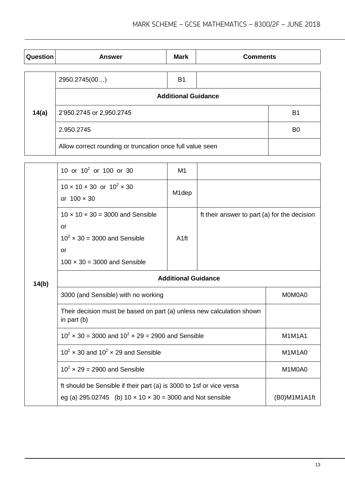| Question | <b>Answer</b>                                             | <b>Mark</b> | <b>Comments</b> |                |
|----------|-----------------------------------------------------------|-------------|-----------------|----------------|
|          |                                                           |             |                 |                |
|          | 2950.2745(00)                                             | <b>B1</b>   |                 |                |
|          | <b>Additional Guidance</b>                                |             |                 |                |
| 14(a)    | 2'950.2745 or 2,950.2745                                  |             |                 | B1             |
|          | 2.950.2745                                                |             |                 | B <sub>0</sub> |
|          | Allow correct rounding or truncation once full value seen |             |                 |                |

|       | 10 or $10^2$ or 100 or 30                                                                                                                      | M1                 |                                              |               |
|-------|------------------------------------------------------------------------------------------------------------------------------------------------|--------------------|----------------------------------------------|---------------|
|       | $10 \times 10 \times 30$ or $10^2 \times 30$<br>or $100 \times 30$                                                                             | M <sub>1</sub> dep |                                              |               |
|       | $10 \times 10 \times 30 = 3000$ and Sensible<br>or<br>$10^2 \times 30 = 3000$ and Sensible<br><b>or</b><br>$100 \times 30 = 3000$ and Sensible | A <sub>1ft</sub>   | ft their answer to part (a) for the decision |               |
| 14(b) | <b>Additional Guidance</b>                                                                                                                     |                    |                                              |               |
|       | 3000 (and Sensible) with no working                                                                                                            |                    |                                              | M0M0A0        |
|       | Their decision must be based on part (a) unless new calculation shown<br>in part (b)                                                           |                    |                                              |               |
|       | $10^2 \times 30 = 3000$ and $10^2 \times 29 = 2900$ and Sensible                                                                               |                    |                                              |               |
|       | $10^2 \times 30$ and $10^2 \times 29$ and Sensible                                                                                             |                    |                                              | <b>M1M1A0</b> |
|       | $10^2 \times 29 = 2900$ and Sensible                                                                                                           |                    |                                              | M1M0A0        |
|       | ft should be Sensible if their part (a) is 3000 to 1sf or vice versa<br>eg (a) 295.02745 (b) $10 \times 10 \times 30 = 3000$ and Not sensible  |                    |                                              | (B0)M1M1A1ft  |
|       |                                                                                                                                                |                    |                                              |               |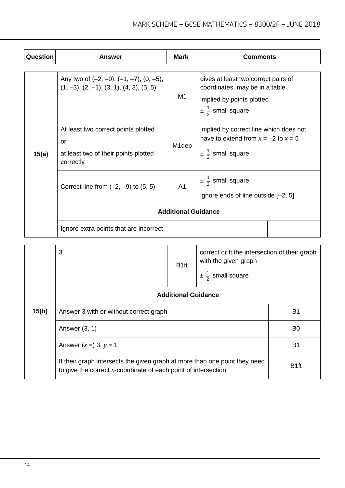| Question | <b>Answer</b>                                                                                  | <b>Mark</b>        | <b>Comments</b>                                                                                                                      |  |
|----------|------------------------------------------------------------------------------------------------|--------------------|--------------------------------------------------------------------------------------------------------------------------------------|--|
|          | Any two of $(-2, -9)$ , $(-1, -7)$ , $(0, -5)$ ,<br>$(1, -3), (2, -1), (3, 1), (4, 3), (5, 5)$ | M <sub>1</sub>     | gives at least two correct pairs of<br>coordinates, may be in a table<br>implied by points plotted<br>$\pm \frac{1}{2}$ small square |  |
| 15(a)    | At least two correct points plotted<br>or<br>at least two of their points plotted<br>correctly | M <sub>1</sub> dep | implied by correct line which does not<br>have to extend from $x = -2$ to $x = 5$<br>$\pm \frac{1}{2}$ small square                  |  |
|          | Correct line from $(-2, -9)$ to $(5, 5)$                                                       | A <sub>1</sub>     | $\pm \frac{1}{2}$ small square<br>ignore ends of line outside [-2, 5]                                                                |  |
|          | <b>Additional Guidance</b>                                                                     |                    |                                                                                                                                      |  |
|          | Ignore extra points that are incorrect                                                         |                    |                                                                                                                                      |  |

|       | 3                                                                                                                                               | B <sub>1ft</sub> | correct or ft the intersection of their graph<br>with the given graph<br>$\pm \frac{1}{2}$ small square |                  |
|-------|-------------------------------------------------------------------------------------------------------------------------------------------------|------------------|---------------------------------------------------------------------------------------------------------|------------------|
|       | <b>Additional Guidance</b>                                                                                                                      |                  |                                                                                                         |                  |
| 15(b) | Answer 3 with or without correct graph                                                                                                          |                  |                                                                                                         | B <sub>1</sub>   |
|       | Answer $(3, 1)$                                                                                                                                 |                  |                                                                                                         | B0               |
|       | Answer $(x =) 3, y = 1$                                                                                                                         |                  |                                                                                                         | B <sub>1</sub>   |
|       | If their graph intersects the given graph at more than one point they need<br>to give the correct $x$ -coordinate of each point of intersection |                  |                                                                                                         | B <sub>1ft</sub> |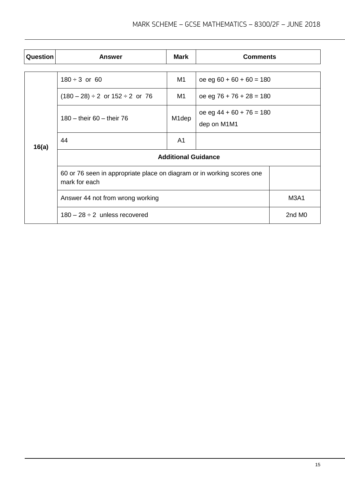| <b>Question</b>                                                                         | <b>Answer</b>                             | <b>Mark</b>        | <b>Comments</b>                           |                    |  |
|-----------------------------------------------------------------------------------------|-------------------------------------------|--------------------|-------------------------------------------|--------------------|--|
|                                                                                         |                                           |                    |                                           |                    |  |
|                                                                                         | $180 \div 3$ or 60                        | M1                 | $oe$ eg 60 + 60 + 60 = 180                |                    |  |
|                                                                                         | $(180 - 28) \div 2$ or $152 \div 2$ or 76 | M <sub>1</sub>     | $oe$ eg 76 + 76 + 28 = 180                |                    |  |
|                                                                                         | 180 – their 60 – their 76                 | M <sub>1</sub> dep | oe eg $44 + 60 + 76 = 180$<br>dep on M1M1 |                    |  |
| 16(a)                                                                                   | 44                                        | A <sub>1</sub>     |                                           |                    |  |
|                                                                                         | <b>Additional Guidance</b>                |                    |                                           |                    |  |
| 60 or 76 seen in appropriate place on diagram or in working scores one<br>mark for each |                                           |                    |                                           |                    |  |
|                                                                                         | Answer 44 not from wrong working          |                    |                                           | <b>M3A1</b>        |  |
|                                                                                         | $180 - 28 \div 2$ unless recovered        |                    |                                           | 2nd M <sub>0</sub> |  |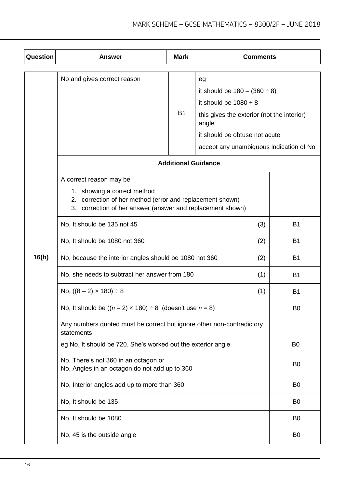| Question | Answer                                                                                   | <b>Mark</b>    | <b>Comments</b>                                     |                |
|----------|------------------------------------------------------------------------------------------|----------------|-----------------------------------------------------|----------------|
|          |                                                                                          |                |                                                     |                |
|          | No and gives correct reason                                                              |                | eg                                                  |                |
|          |                                                                                          |                | it should be $180 - (360 \div 8)$                   |                |
|          |                                                                                          |                | it should be $1080 \div 8$                          |                |
|          |                                                                                          | <b>B1</b>      | this gives the exterior (not the interior)<br>angle |                |
|          |                                                                                          |                | it should be obtuse not acute                       |                |
|          |                                                                                          |                | accept any unambiguous indication of No             |                |
|          | <b>Additional Guidance</b>                                                               |                |                                                     |                |
|          | A correct reason may be                                                                  |                |                                                     |                |
|          | 1. showing a correct method<br>2. correction of her method (error and replacement shown) |                |                                                     |                |
|          | 3. correction of her answer (answer and replacement shown)                               |                |                                                     |                |
|          | No, It should be 135 not 45                                                              | <b>B1</b>      |                                                     |                |
|          | No, It should be 1080 not 360                                                            | <b>B1</b>      |                                                     |                |
| 16(b)    | No, because the interior angles should be 1080 not 360                                   | <b>B1</b>      |                                                     |                |
|          | No, she needs to subtract her answer from 180                                            | <b>B1</b>      |                                                     |                |
|          | No, $((8 - 2) \times 180) \div 8$                                                        | <b>B1</b>      |                                                     |                |
|          | No, it should be $((n-2) \times 180) \div 8$ (doesn't use $n = 8$ )                      | B <sub>0</sub> |                                                     |                |
|          | Any numbers quoted must be correct but ignore other non-contradictory<br>statements      |                |                                                     |                |
|          | eg No, It should be 720. She's worked out the exterior angle                             |                |                                                     | B <sub>0</sub> |
|          | No, There's not 360 in an octagon or<br>No, Angles in an octagon do not add up to 360    | B <sub>0</sub> |                                                     |                |
|          |                                                                                          |                |                                                     |                |
|          | No, Interior angles add up to more than 360                                              |                |                                                     | B <sub>0</sub> |
|          | No, It should be 135                                                                     |                |                                                     | B <sub>0</sub> |
|          | No, It should be 1080                                                                    |                |                                                     | B <sub>0</sub> |
|          | No, 45 is the outside angle                                                              |                |                                                     | B <sub>0</sub> |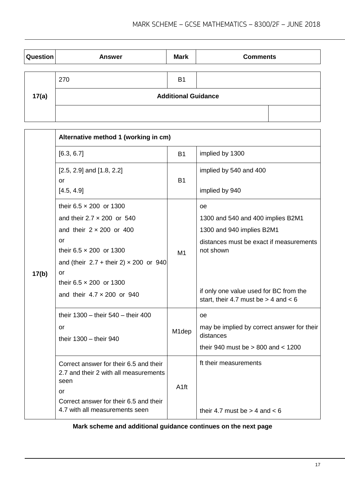| Question | <b>Answer</b> | <b>Mark</b>                | <b>Comments</b> |
|----------|---------------|----------------------------|-----------------|
|          |               |                            |                 |
|          | 270           | <b>B1</b>                  |                 |
| 17(a)    |               | <b>Additional Guidance</b> |                 |
|          |               |                            |                 |

|       | Alternative method 1 (working in cm)                                                          |                    |                                                                                    |  |  |
|-------|-----------------------------------------------------------------------------------------------|--------------------|------------------------------------------------------------------------------------|--|--|
|       | [6.3, 6.7]                                                                                    | <b>B1</b>          | implied by 1300                                                                    |  |  |
|       | $[2.5, 2.9]$ and $[1.8, 2.2]$<br>or                                                           | <b>B1</b>          | implied by 540 and 400                                                             |  |  |
|       | [4.5, 4.9]                                                                                    |                    | implied by 940                                                                     |  |  |
|       | their $6.5 \times 200$ or 1300                                                                |                    | <b>oe</b>                                                                          |  |  |
|       | and their $2.7 \times 200$ or 540                                                             |                    | 1300 and 540 and 400 implies B2M1                                                  |  |  |
|       | and their $2 \times 200$ or 400                                                               |                    | 1300 and 940 implies B2M1                                                          |  |  |
|       | or                                                                                            |                    | distances must be exact if measurements                                            |  |  |
|       | their $6.5 \times 200$ or 1300                                                                | M1                 | not shown                                                                          |  |  |
|       | and (their $2.7 +$ their 2) $\times$ 200 or 940                                               |                    |                                                                                    |  |  |
| 17(b) | or<br>their $6.5 \times 200$ or 1300                                                          |                    |                                                                                    |  |  |
|       | and their $4.7 \times 200$ or 940                                                             |                    | if only one value used for BC from the<br>start, their 4.7 must be $>$ 4 and $<$ 6 |  |  |
|       | their 1300 - their 540 - their 400                                                            |                    | oe                                                                                 |  |  |
|       | or<br>their 1300 - their 940                                                                  | M <sub>1</sub> dep | may be implied by correct answer for their<br>distances                            |  |  |
|       |                                                                                               |                    | their 940 must be $> 800$ and $< 1200$                                             |  |  |
|       | Correct answer for their 6.5 and their<br>2.7 and their 2 with all measurements<br>seen<br>or | A <sub>1ft</sub>   | ft their measurements                                                              |  |  |
|       | Correct answer for their 6.5 and their<br>4.7 with all measurements seen                      |                    | their 4.7 must be $>$ 4 and $<$ 6                                                  |  |  |

**Mark scheme and additional guidance continues on the next page**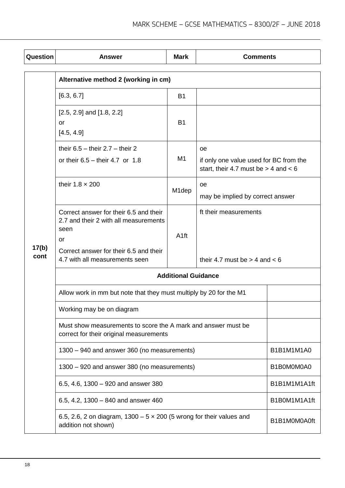| Question      | <b>Answer</b>                                                                                                                                                             | <b>Mark</b>      | <b>Comments</b>                                                                                 |              |  |
|---------------|---------------------------------------------------------------------------------------------------------------------------------------------------------------------------|------------------|-------------------------------------------------------------------------------------------------|--------------|--|
|               | Alternative method 2 (working in cm)                                                                                                                                      |                  |                                                                                                 |              |  |
|               | [6.3, 6.7]                                                                                                                                                                | B1               |                                                                                                 |              |  |
|               | $[2.5, 2.9]$ and $[1.8, 2.2]$<br>or<br>[4.5, 4.9]                                                                                                                         | <b>B1</b>        |                                                                                                 |              |  |
|               | their $6.5 -$ their $2.7 -$ their 2<br>or their $6.5 -$ their 4.7 or 1.8                                                                                                  | M1               | <b>oe</b><br>if only one value used for BC from the<br>start, their 4.7 must be $>$ 4 and $<$ 6 |              |  |
|               | their $1.8 \times 200$                                                                                                                                                    | M1dep            | oe<br>may be implied by correct answer                                                          |              |  |
| 17(b)<br>cont | Correct answer for their 6.5 and their<br>2.7 and their 2 with all measurements<br>seen<br>or<br>Correct answer for their 6.5 and their<br>4.7 with all measurements seen | A <sub>1ft</sub> | ft their measurements<br>their 4.7 must be $>$ 4 and $<$ 6                                      |              |  |
|               | <b>Additional Guidance</b>                                                                                                                                                |                  |                                                                                                 |              |  |
|               | Allow work in mm but note that they must multiply by 20 for the M1                                                                                                        |                  |                                                                                                 |              |  |
|               | Working may be on diagram                                                                                                                                                 |                  |                                                                                                 |              |  |
|               | Must show measurements to score the A mark and answer must be<br>correct for their original measurements                                                                  |                  |                                                                                                 |              |  |
|               | 1300 - 940 and answer 360 (no measurements)                                                                                                                               | B1B1M1M1A0       |                                                                                                 |              |  |
|               | 1300 - 920 and answer 380 (no measurements)                                                                                                                               | B1B0M0M0A0       |                                                                                                 |              |  |
|               | 6.5, 4.6, 1300 - 920 and answer 380                                                                                                                                       | B1B1M1M1A1ft     |                                                                                                 |              |  |
|               | 6.5, 4.2, 1300 $-$ 840 and answer 460                                                                                                                                     |                  |                                                                                                 | B1B0M1M1A1ft |  |
|               | 6.5, 2.6, 2 on diagram, $1300 - 5 \times 200$ (5 wrong for their values and<br>addition not shown)                                                                        |                  |                                                                                                 | B1B1M0M0A0ft |  |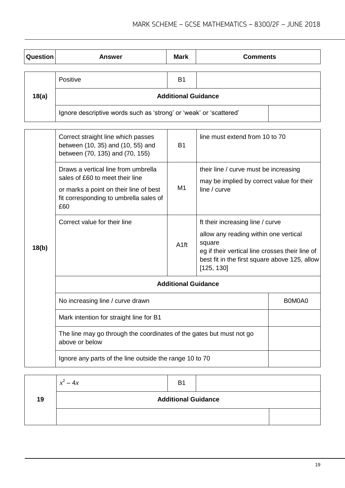| Question | <b>Answer</b>                                                      | <b>Mark</b>    | <b>Comments</b> |  |  |
|----------|--------------------------------------------------------------------|----------------|-----------------|--|--|
|          |                                                                    |                |                 |  |  |
|          | Positive                                                           | B <sub>1</sub> |                 |  |  |
| 18(a)    | <b>Additional Guidance</b>                                         |                |                 |  |  |
|          | Ignore descriptive words such as 'strong' or 'weak' or 'scattered' |                |                 |  |  |

|                                                                                                                                                                                                            | Correct straight line which passes<br>between (10, 35) and (10, 55) and<br>between (70, 135) and (70, 155) | <b>B1</b>                                                                                                                                                                                             | line must extend from 10 to 70                                                                     |        |
|------------------------------------------------------------------------------------------------------------------------------------------------------------------------------------------------------------|------------------------------------------------------------------------------------------------------------|-------------------------------------------------------------------------------------------------------------------------------------------------------------------------------------------------------|----------------------------------------------------------------------------------------------------|--------|
| Draws a vertical line from umbrella<br>sales of £60 to meet their line<br>or marks a point on their line of best<br>fit corresponding to umbrella sales of<br>£60<br>Correct value for their line<br>18(b) |                                                                                                            | M1                                                                                                                                                                                                    | their line / curve must be increasing<br>may be implied by correct value for their<br>line / curve |        |
|                                                                                                                                                                                                            | A <sub>1ft</sub>                                                                                           | ft their increasing line / curve<br>allow any reading within one vertical<br>square<br>eg if their vertical line crosses their line of<br>best fit in the first square above 125, allow<br>[125, 130] |                                                                                                    |        |
|                                                                                                                                                                                                            | <b>Additional Guidance</b>                                                                                 |                                                                                                                                                                                                       |                                                                                                    |        |
|                                                                                                                                                                                                            | No increasing line / curve drawn                                                                           |                                                                                                                                                                                                       |                                                                                                    | B0M0A0 |
|                                                                                                                                                                                                            | Mark intention for straight line for B1                                                                    |                                                                                                                                                                                                       |                                                                                                    |        |
|                                                                                                                                                                                                            | The line may go through the coordinates of the gates but must not go<br>above or below                     |                                                                                                                                                                                                       |                                                                                                    |        |
|                                                                                                                                                                                                            | Ignore any parts of the line outside the range 10 to 70                                                    |                                                                                                                                                                                                       |                                                                                                    |        |

|    | ົ<br>$x^2-4x$              | B <sub>1</sub> |  |  |
|----|----------------------------|----------------|--|--|
| 19 | <b>Additional Guidance</b> |                |  |  |
|    |                            |                |  |  |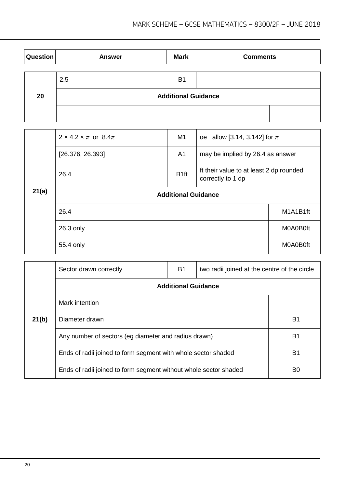| <b>Question</b> | <b>Answer</b> | <b>Mark</b>                | <b>Comments</b> |
|-----------------|---------------|----------------------------|-----------------|
|                 | 2.5           | <b>B1</b>                  |                 |
| 20              |               | <b>Additional Guidance</b> |                 |
|                 |               |                            |                 |

|       | $2 \times 4.2 \times \pi$ or 8.4 $\pi$ | M1               | oe allow [3.14, 3.142] for $\pi$                             |          |  |
|-------|----------------------------------------|------------------|--------------------------------------------------------------|----------|--|
|       | [26.376, 26.393]                       | A <sub>1</sub>   | may be implied by 26.4 as answer                             |          |  |
|       | 26.4                                   | B <sub>1ft</sub> | ft their value to at least 2 dp rounded<br>correctly to 1 dp |          |  |
| 21(a) | <b>Additional Guidance</b>             |                  |                                                              |          |  |
|       | 26.4                                   |                  |                                                              | M1A1B1ft |  |
|       | 26.3 only                              |                  |                                                              | MOA0B0ft |  |
|       | 55.4 only                              |                  |                                                              | M0A0B0ft |  |

|       | Sector drawn correctly                                           | <b>B1</b>                                                     | two radii joined at the centre of the circle |                |  |
|-------|------------------------------------------------------------------|---------------------------------------------------------------|----------------------------------------------|----------------|--|
|       | <b>Additional Guidance</b>                                       |                                                               |                                              |                |  |
|       | Mark intention                                                   |                                                               |                                              |                |  |
| 21(b) | Diameter drawn                                                   |                                                               |                                              | B <sub>1</sub> |  |
|       | Any number of sectors (eg diameter and radius drawn)             |                                                               |                                              |                |  |
|       |                                                                  | Ends of radii joined to form segment with whole sector shaded |                                              |                |  |
|       | Ends of radii joined to form segment without whole sector shaded |                                                               | B0                                           |                |  |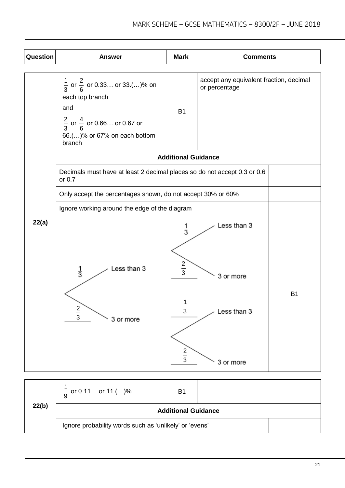| Question | <b>Answer</b>                                                                                                                                                                | <b>Mark</b>                             | <b>Comments</b>          |  |
|----------|------------------------------------------------------------------------------------------------------------------------------------------------------------------------------|-----------------------------------------|--------------------------|--|
|          |                                                                                                                                                                              |                                         |                          |  |
|          | $\frac{1}{3}$ or $\frac{2}{6}$ or 0.33 or 33.()% on<br>each top branch<br>and<br>$\frac{2}{3}$ or $\frac{4}{6}$ or 0.66 or 0.67 or<br>66.()% or 67% on each bottom<br>branch | accept any equivalent fraction, decimal |                          |  |
|          |                                                                                                                                                                              | <b>Additional Guidance</b>              |                          |  |
|          | Decimals must have at least 2 decimal places so do not accept 0.3 or 0.6<br>or 0.7                                                                                           |                                         |                          |  |
|          | Only accept the percentages shown, do not accept 30% or 60%                                                                                                                  |                                         |                          |  |
|          | Ignore working around the edge of the diagram                                                                                                                                |                                         |                          |  |
| 22(a)    | Less than 3<br>$\frac{1}{3}$                                                                                                                                                 | $\frac{1}{3}$<br>$rac{2}{3}$            | Less than 3<br>3 or more |  |
|          | 1<br>$rac{2}{3}$<br>Less than 3<br>$\ensuremath{\mathsf{3}}$<br>3 or more<br>$rac{2}{3}$<br>3 or more                                                                        |                                         | <b>B1</b>                |  |

| 22(b) | $\frac{1}{9}$ or 0.11 or 11.()%                        | B <sub>1</sub> |  |  |
|-------|--------------------------------------------------------|----------------|--|--|
|       | <b>Additional Guidance</b>                             |                |  |  |
|       | Ignore probability words such as 'unlikely' or 'evens' |                |  |  |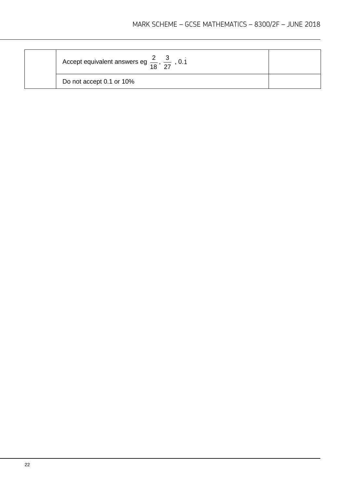| Accept equivalent answers eg $\frac{2}{18}$ , $\frac{3}{27}$ , 0.1 |  |
|--------------------------------------------------------------------|--|
| Do not accept 0.1 or 10%                                           |  |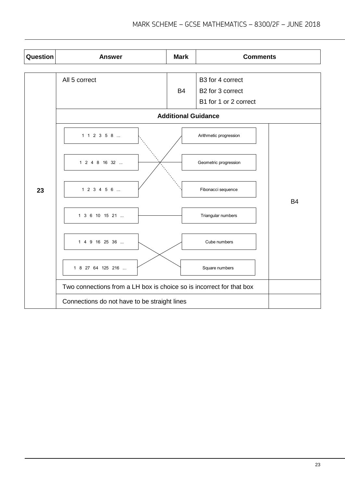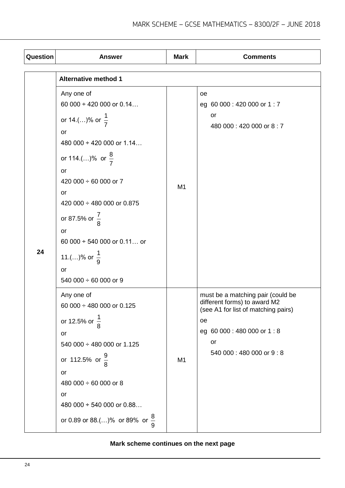| Question | <b>Answer</b>                                                                                                                                                                                                                                                                                                                                                  | <b>Mark</b>    | <b>Comments</b>                                                                                                                                                                |
|----------|----------------------------------------------------------------------------------------------------------------------------------------------------------------------------------------------------------------------------------------------------------------------------------------------------------------------------------------------------------------|----------------|--------------------------------------------------------------------------------------------------------------------------------------------------------------------------------|
|          | <b>Alternative method 1</b>                                                                                                                                                                                                                                                                                                                                    |                |                                                                                                                                                                                |
| 24       | Any one of<br>60 000 $\div$ 420 000 or 0.14<br>or 14.()% or $\frac{1}{7}$<br>or<br>480 000 $\div$ 420 000 or 1.14<br>or 114.()% or $\frac{8}{7}$<br>or<br>420 000 $\div$ 60 000 or 7<br>or<br>420 000 ÷ 480 000 or 0.875<br>or 87.5% or $\frac{7}{8}$<br>or<br>60 000 $\div$ 540 000 or 0.11 or<br>11.()% or $\frac{1}{9}$<br>or<br>540 000 $\div$ 60 000 or 9 | M <sub>1</sub> | oe<br>eg 60 000 : 420 000 or 1 : 7<br>or<br>480 000:420 000 or 8:7                                                                                                             |
|          | Any one of<br>60 000 $\div$ 480 000 or 0.125<br>or 12.5% or $\frac{1}{8}$<br>or<br>540 000 ÷ 480 000 or 1.125<br>or 112.5% or $\frac{9}{8}$<br>or<br>480 000 $\div$ 60 000 or 8<br>or<br>480 000 $\div$ 540 000 or 0.88<br>or 0.89 or 88.()% or 89% or $\frac{8}{9}$                                                                                           | M <sub>1</sub> | must be a matching pair (could be<br>different forms) to award M2<br>(see A1 for list of matching pairs)<br>oe<br>eg 60 000 : 480 000 or 1 : 8<br>or<br>540 000:480 000 or 9:8 |

# **Mark scheme continues on the next page**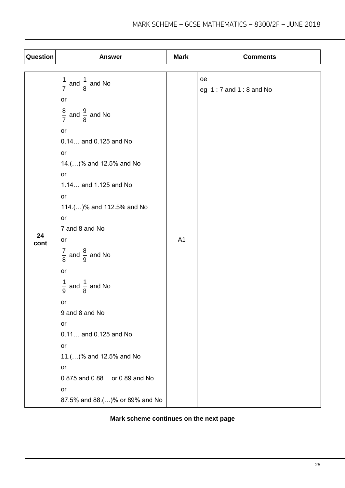| Question | <b>Answer</b>                                | <b>Mark</b>    | <b>Comments</b>                 |
|----------|----------------------------------------------|----------------|---------------------------------|
|          |                                              |                |                                 |
|          | $\frac{1}{7}$ and $\frac{1}{8}$ and No<br>or |                | oe<br>eg $1:7$ and $1:8$ and No |
|          | $\frac{8}{7}$ and $\frac{9}{8}$ and No       |                |                                 |
|          | or<br>0.14 and 0.125 and No<br>or            |                |                                 |
|          | 14.()% and 12.5% and No<br>or                |                |                                 |
|          | 1.14 and 1.125 and No<br>or                  |                |                                 |
|          | 114.()% and 112.5% and No<br>or              |                |                                 |
| 24       | 7 and 8 and No                               |                |                                 |
| cont     | or                                           | A <sub>1</sub> |                                 |
|          | $\frac{7}{8}$ and $\frac{8}{9}$ and No       |                |                                 |
|          | or                                           |                |                                 |
|          | $\frac{1}{9}$ and $\frac{1}{8}$ and No       |                |                                 |
|          | or                                           |                |                                 |
|          | 9 and 8 and No                               |                |                                 |
|          | or                                           |                |                                 |
|          | 0.11 and 0.125 and No<br>or                  |                |                                 |
|          | 11.()% and 12.5% and No                      |                |                                 |
|          | or                                           |                |                                 |
|          | 0.875 and 0.88 or 0.89 and No                |                |                                 |
|          | or                                           |                |                                 |
|          | 87.5% and 88.()% or 89% and No               |                |                                 |

## **Mark scheme continues on the next page**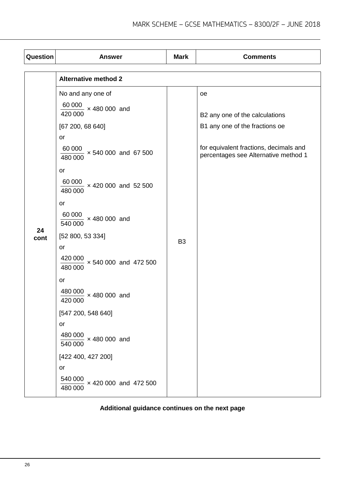| Question   | <b>Answer</b>                                                                                                                                                                                                                                                                                                                                                                                                                                        | <b>Mark</b>    | <b>Comments</b>                                                                                                                                          |
|------------|------------------------------------------------------------------------------------------------------------------------------------------------------------------------------------------------------------------------------------------------------------------------------------------------------------------------------------------------------------------------------------------------------------------------------------------------------|----------------|----------------------------------------------------------------------------------------------------------------------------------------------------------|
|            | <b>Alternative method 2</b>                                                                                                                                                                                                                                                                                                                                                                                                                          |                |                                                                                                                                                          |
| 24<br>cont | No and any one of<br>$\frac{60000}{100}$ × 480 000 and<br>420 000<br>[67 200, 68 640]<br>or<br>$\frac{60000}{1000}$ × 540 000 and 67 500<br>480 000<br>or<br>$\frac{60000}{1000} \times 420000$ and 52500<br>480 000<br>or<br>$\frac{60000}{540000} \times 480000$ and<br>[52 800, 53 334]<br><b>or</b><br>$\frac{420\,000}{480\,000}$ × 540 000 and 472 500<br>or<br>480 000<br>$\frac{10}{1}$ x 480 000 and<br>420 000<br>[547 200, 548 640]<br>or | B <sub>3</sub> | oe<br>B2 any one of the calculations<br>B1 any one of the fractions oe<br>for equivalent fractions, decimals and<br>percentages see Alternative method 1 |
|            | $\frac{480000}{100}$ × 480 000 and<br>540 000                                                                                                                                                                                                                                                                                                                                                                                                        |                |                                                                                                                                                          |
|            | [422 400, 427 200]<br>or<br>$\frac{540000}{1}$ × 420 000 and 472 500<br>480 000                                                                                                                                                                                                                                                                                                                                                                      |                |                                                                                                                                                          |
|            |                                                                                                                                                                                                                                                                                                                                                                                                                                                      |                |                                                                                                                                                          |

# **Additional guidance continues on the next page**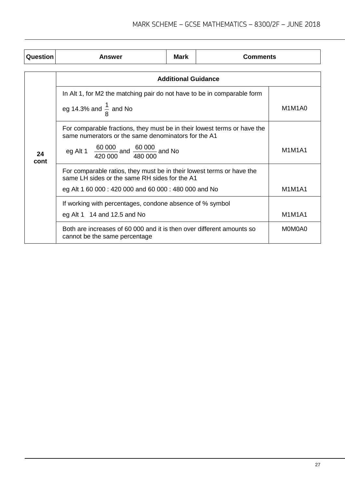| Question   | Answer                                                                                                                                                                                               | <b>Mark</b>                | <b>Comments</b> |                                              |
|------------|------------------------------------------------------------------------------------------------------------------------------------------------------------------------------------------------------|----------------------------|-----------------|----------------------------------------------|
|            |                                                                                                                                                                                                      | <b>Additional Guidance</b> |                 |                                              |
| 24<br>cont | In Alt 1, for M2 the matching pair do not have to be in comparable form<br>eg 14.3% and $\frac{1}{8}$ and No                                                                                         |                            |                 | M <sub>1</sub> M <sub>1</sub> A <sub>0</sub> |
|            | For comparable fractions, they must be in their lowest terms or have the<br>same numerators or the same denominators for the A1<br>eg Alt 1 $\frac{60000}{420000}$ and $\frac{60000}{480000}$ and No |                            |                 | M1M1A1                                       |
|            | For comparable ratios, they must be in their lowest terms or have the<br>same LH sides or the same RH sides for the A1<br>eg Alt 1 60 000 : 420 000 and 60 000 : 480 000 and No                      |                            |                 | M1M1A1                                       |
|            | If working with percentages, condone absence of % symbol<br>eg Alt 1 $14$ and 12.5 and No                                                                                                            |                            |                 | M1M1A1                                       |
|            | Both are increases of 60 000 and it is then over different amounts so<br>cannot be the same percentage                                                                                               |                            |                 | M0M0A0                                       |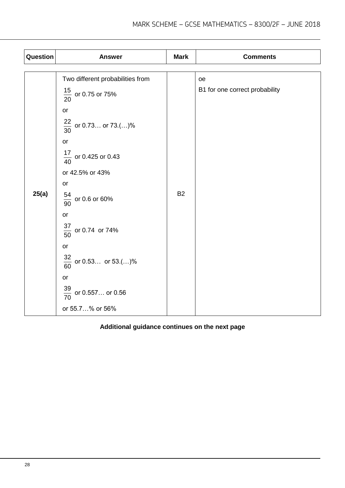| Question | <b>Answer</b>                                                                                                                                                                                                                                                                                                            | <b>Mark</b> | <b>Comments</b>                      |  |
|----------|--------------------------------------------------------------------------------------------------------------------------------------------------------------------------------------------------------------------------------------------------------------------------------------------------------------------------|-------------|--------------------------------------|--|
| 25(a)    | Two different probabilities from<br>$\frac{15}{20}$ or 0.75 or 75%<br>or<br>$\frac{22}{30}$ or 0.73 or 73.()%<br>or<br>$\frac{17}{40}$ or 0.425 or 0.43<br>or 42.5% or 43%<br>or<br>$\frac{54}{90}$ or 0.6 or 60%<br>$\mathop{\mathsf{or}}$<br>$\frac{37}{50}$ or 0.74 or 74%<br>or<br>$\frac{32}{60}$ or 0.53 or 53.()% | <b>B2</b>   | oe<br>B1 for one correct probability |  |
|          | or                                                                                                                                                                                                                                                                                                                       |             |                                      |  |
|          |                                                                                                                                                                                                                                                                                                                          |             |                                      |  |
|          |                                                                                                                                                                                                                                                                                                                          |             |                                      |  |
|          |                                                                                                                                                                                                                                                                                                                          |             |                                      |  |
|          | $\frac{39}{70}$ or 0.557 or 0.56<br>or 55.7% or 56%                                                                                                                                                                                                                                                                      |             |                                      |  |

# **Additional guidance continues on the next page**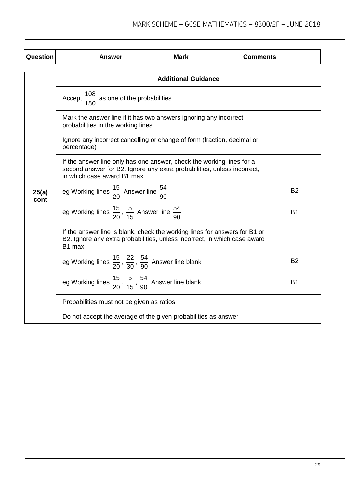| Question      | Answer                                                                                                                                                                         | <b>Mark</b> | <b>Comments</b> |           |  |
|---------------|--------------------------------------------------------------------------------------------------------------------------------------------------------------------------------|-------------|-----------------|-----------|--|
|               | <b>Additional Guidance</b>                                                                                                                                                     |             |                 |           |  |
|               | Accept $\frac{108}{180}$ as one of the probabilities                                                                                                                           |             |                 |           |  |
|               | Mark the answer line if it has two answers ignoring any incorrect<br>probabilities in the working lines                                                                        |             |                 |           |  |
|               | Ignore any incorrect cancelling or change of form (fraction, decimal or<br>percentage)                                                                                         |             |                 |           |  |
|               | If the answer line only has one answer, check the working lines for a<br>second answer for B2. Ignore any extra probabilities, unless incorrect,<br>in which case award B1 max |             |                 |           |  |
| 25(a)<br>cont | eg Working lines $\frac{15}{20}$ Answer line $\frac{54}{90}$                                                                                                                   |             |                 | <b>B2</b> |  |
|               | eg Working lines $\frac{15}{20}$ , $\frac{5}{15}$ Answer line $\frac{54}{90}$                                                                                                  |             |                 | <b>B1</b> |  |
|               | If the answer line is blank, check the working lines for answers for B1 or<br>B2. Ignore any extra probabilities, unless incorrect, in which case award<br>B1 max              |             |                 |           |  |
|               | eg Working lines $\frac{15}{20}$ , $\frac{22}{30}$ , $\frac{54}{90}$ Answer line blank                                                                                         |             |                 | <b>B2</b> |  |
|               | eg Working lines $\frac{15}{20}$ , $\frac{5}{15}$ , $\frac{54}{90}$ Answer line blank                                                                                          | <b>B1</b>   |                 |           |  |
|               | Probabilities must not be given as ratios                                                                                                                                      |             |                 |           |  |
|               | Do not accept the average of the given probabilities as answer                                                                                                                 |             |                 |           |  |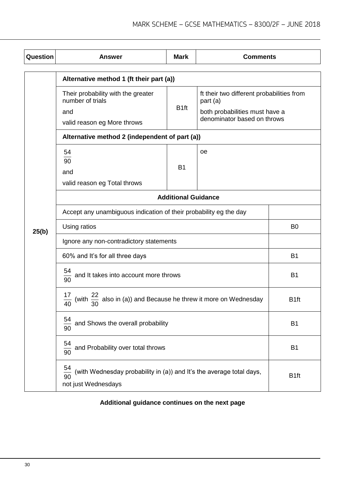| Question | <b>Answer</b>                                                                                                       | <b>Mark</b>      | <b>Comments</b>                                                                                                        |                  |
|----------|---------------------------------------------------------------------------------------------------------------------|------------------|------------------------------------------------------------------------------------------------------------------------|------------------|
|          | Alternative method 1 (ft their part (a))                                                                            |                  |                                                                                                                        |                  |
|          | Their probability with the greater<br>number of trials<br>and<br>valid reason eg More throws                        | B <sub>1ft</sub> | ft their two different probabilities from<br>part (a)<br>both probabilities must have a<br>denominator based on throws |                  |
|          | Alternative method 2 (independent of part (a))                                                                      |                  |                                                                                                                        |                  |
|          | 54<br>90<br>and<br>valid reason eg Total throws                                                                     | <b>B1</b>        | оe                                                                                                                     |                  |
|          | <b>Additional Guidance</b>                                                                                          |                  |                                                                                                                        |                  |
|          | Accept any unambiguous indication of their probability eg the day                                                   |                  |                                                                                                                        |                  |
| 25(b)    | Using ratios                                                                                                        |                  |                                                                                                                        | B <sub>0</sub>   |
|          | Ignore any non-contradictory statements                                                                             |                  |                                                                                                                        |                  |
|          | 60% and It's for all three days                                                                                     |                  |                                                                                                                        | <b>B1</b>        |
|          | $\frac{54}{90}$ and It takes into account more throws                                                               |                  |                                                                                                                        | <b>B1</b>        |
|          | $\frac{17}{40}$ (with $\frac{22}{30}$ also in (a)) and Because he threw it more on Wednesday                        |                  |                                                                                                                        | B <sub>1ft</sub> |
|          | 54<br>and Shows the overall probability<br>90                                                                       |                  |                                                                                                                        | B <sub>1</sub>   |
|          | 54<br>and Probability over total throws<br>$rac{1}{90}$                                                             |                  |                                                                                                                        | B <sub>1</sub>   |
|          | 54<br>(with Wednesday probability in (a)) and It's the average total days,<br>$\frac{1}{90}$<br>not just Wednesdays |                  | B <sub>1ft</sub>                                                                                                       |                  |

**Additional guidance continues on the next page**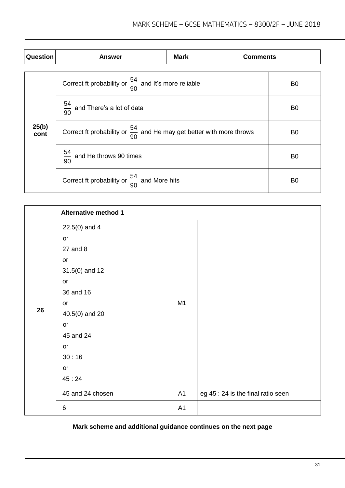| Question      | <b>Answer</b>                                                                    | <b>Mark</b>                                             | <b>Comments</b> |                |
|---------------|----------------------------------------------------------------------------------|---------------------------------------------------------|-----------------|----------------|
|               | Correct ft probability or $\frac{54}{90}$ and It's more reliable                 |                                                         |                 | B <sub>0</sub> |
|               | $\frac{54}{90}$ and There's a lot of data                                        |                                                         |                 | B <sub>0</sub> |
| 25(b)<br>cont | Correct ft probability or $\frac{54}{90}$ and He may get better with more throws |                                                         |                 | B <sub>0</sub> |
|               | $\frac{54}{90}$ and He throws 90 times                                           |                                                         |                 |                |
|               |                                                                                  | Correct ft probability or $\frac{54}{90}$ and More hits |                 |                |

|    | <b>Alternative method 1</b> |    |                                    |
|----|-----------------------------|----|------------------------------------|
|    | $22.5(0)$ and 4             |    |                                    |
|    | or                          |    |                                    |
|    | 27 and 8                    |    |                                    |
|    | or                          |    |                                    |
|    | $31.5(0)$ and 12            |    |                                    |
|    | $\mathop{\sf or}\nolimits$  |    |                                    |
|    | 36 and 16                   | M1 |                                    |
|    | $\mathop{\sf or}\nolimits$  |    |                                    |
| 26 | 40.5(0) and 20              |    |                                    |
|    | or                          |    |                                    |
|    | 45 and 24                   |    |                                    |
|    | or                          |    |                                    |
|    | 30:16                       |    |                                    |
|    | or                          |    |                                    |
|    | 45:24                       |    |                                    |
|    | 45 and 24 chosen            | A1 | eg 45 : 24 is the final ratio seen |
|    | 6                           | A1 |                                    |

# **Mark scheme and additional guidance continues on the next page**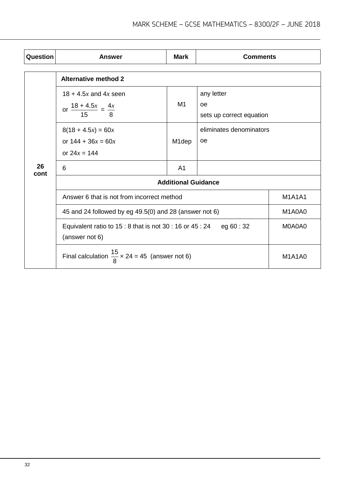| Question   | Answer                                                                                    | <b>Mark</b>        | <b>Comments</b>                              |               |  |
|------------|-------------------------------------------------------------------------------------------|--------------------|----------------------------------------------|---------------|--|
|            | <b>Alternative method 2</b>                                                               |                    |                                              |               |  |
|            | $18 + 4.5x$ and $4x$ seen<br>or $\frac{18 + 4.5x}{15} = \frac{4x}{8}$                     | M1                 | any letter<br>oe<br>sets up correct equation |               |  |
|            | $8(18 + 4.5x) = 60x$<br>or $144 + 36x = 60x$<br>or $24x = 144$                            | M <sub>1</sub> dep | eliminates denominators<br><sub>oe</sub>     |               |  |
| 26<br>cont | 6                                                                                         | A <sub>1</sub>     |                                              |               |  |
|            | <b>Additional Guidance</b>                                                                |                    |                                              |               |  |
|            | Answer 6 that is not from incorrect method                                                |                    |                                              | <b>M1A1A1</b> |  |
|            | 45 and 24 followed by eg 49.5(0) and 28 (answer not 6)                                    |                    |                                              | M1A0A0        |  |
|            | Equivalent ratio to $15:8$ that is not $30:16$ or $45:24$<br>eg 60 : 32<br>(answer not 6) |                    |                                              | M0A0A0        |  |
|            | Final calculation $\frac{15}{8}$ x 24 = 45 (answer not 6)                                 |                    |                                              | <b>M1A1A0</b> |  |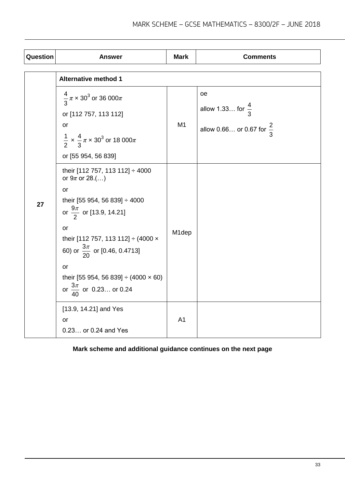| Question | <b>Answer</b>                                                                                                                                                                                                                                                                                                                    | <b>Mark</b>    | <b>Comments</b>                                                                   |
|----------|----------------------------------------------------------------------------------------------------------------------------------------------------------------------------------------------------------------------------------------------------------------------------------------------------------------------------------|----------------|-----------------------------------------------------------------------------------|
|          | <b>Alternative method 1</b>                                                                                                                                                                                                                                                                                                      |                |                                                                                   |
|          | $\frac{4}{3}\pi \times 30^3$ or 36 000 $\pi$<br>or [112 757, 113 112]<br>or<br>$\frac{1}{2} \times \frac{4}{3} \pi \times 30^3$ or 18 000 $\pi$<br>or [55 954, 56 839]                                                                                                                                                           | M1             | <b>oe</b><br>allow 1.33 for $\frac{4}{3}$<br>allow 0.66 or 0.67 for $\frac{2}{3}$ |
| 27       | their [112 757, 113 112] ÷ 4000<br>or $9\pi$ or 28.()<br>or<br>their [55 954, 56 839] ÷ 4000<br>or $\frac{9\pi}{2}$ or [13.9, 14.21]<br>or<br>their [112 757, 113 112] ÷ (4000 x<br>60) or $\frac{3\pi}{20}$ or [0.46, 0.4713]<br>or<br>their [55 954, 56 839] $\div$ (4000 $\times$ 60)<br>or $\frac{3\pi}{40}$ or 0.23 or 0.24 | M1dep          |                                                                                   |
|          | [13.9, 14.21] and Yes<br><b>or</b><br>0.23 or 0.24 and Yes                                                                                                                                                                                                                                                                       | A <sub>1</sub> |                                                                                   |

# **Mark scheme and additional guidance continues on the next page**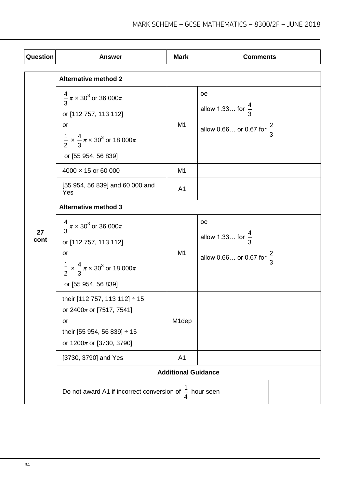| Question   | <b>Answer</b>                                                                                                                                                                 | <b>Mark</b>                | <b>Comments</b>                                                            |  |
|------------|-------------------------------------------------------------------------------------------------------------------------------------------------------------------------------|----------------------------|----------------------------------------------------------------------------|--|
|            | <b>Alternative method 2</b>                                                                                                                                                   |                            |                                                                            |  |
|            | $\frac{4}{3}\pi \times 30^3$ or 36 000 $\pi$<br>or [112 757, 113 112]<br>or<br>$\frac{1}{2} \times \frac{4}{3} \pi \times 30^3$ or 18 000 $\pi$<br>or [55 954, 56 839]        | M1                         | oe<br>allow 1.33 for $\frac{4}{3}$<br>allow 0.66 or 0.67 for $\frac{2}{3}$ |  |
|            | $4000 \times 15$ or 60 000                                                                                                                                                    | M <sub>1</sub>             |                                                                            |  |
|            | [55 954, 56 839] and 60 000 and<br>Yes                                                                                                                                        | A <sub>1</sub>             |                                                                            |  |
|            | <b>Alternative method 3</b>                                                                                                                                                   |                            |                                                                            |  |
| 27<br>cont | $\frac{4}{3}\pi \times 30^3$ or 36 000 $\pi$<br>or [112 757, 113 112]<br><b>or</b><br>$\frac{1}{2} \times \frac{4}{3} \pi \times 30^3$ or 18 000 $\pi$<br>or [55 954, 56 839] | M <sub>1</sub>             | oe<br>allow 1.33 for $\frac{4}{3}$<br>allow 0.66 or 0.67 for $\frac{2}{3}$ |  |
|            | their [112 757, 113 112] ÷ 15<br>or 2400 $\pi$ or [7517, 7541]<br>or<br>their [55 954, 56 839] ÷ 15<br>or $1200\pi$ or [3730, 3790]                                           | M1dep                      |                                                                            |  |
|            | [3730, 3790] and Yes                                                                                                                                                          | A <sub>1</sub>             |                                                                            |  |
|            |                                                                                                                                                                               | <b>Additional Guidance</b> |                                                                            |  |
|            | Do not award A1 if incorrect conversion of $\frac{1}{4}$ hour seen                                                                                                            |                            |                                                                            |  |